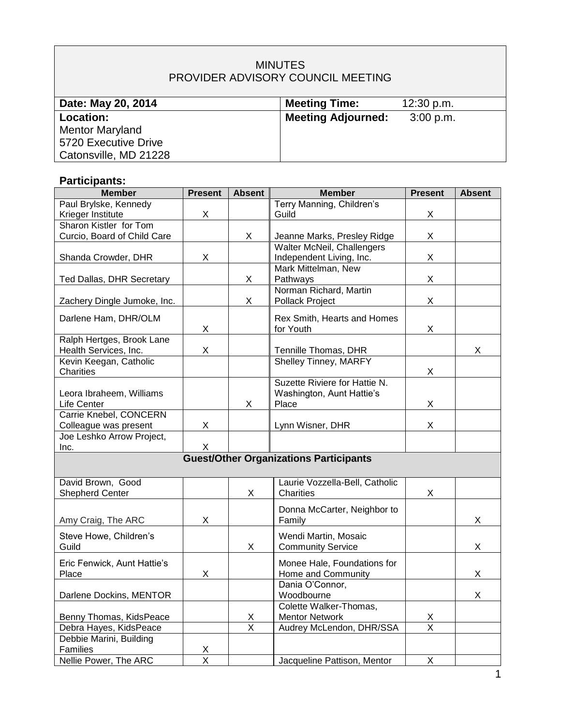## MINUTES PROVIDER ADVISORY COUNCIL MEETING

| Date: May 20, 2014     | <b>Meeting Time:</b>      | 12:30 p.m.  |
|------------------------|---------------------------|-------------|
| Location:              | <b>Meeting Adjourned:</b> | $3:00$ p.m. |
| <b>Mentor Maryland</b> |                           |             |
| 5720 Executive Drive   |                           |             |
| Catonsville, MD 21228  |                           |             |

# **Participants:**

| <b>Member</b>               | <b>Present</b>          | <b>Absent</b> | <b>Member</b>                                 | <b>Present</b> | <b>Absent</b> |
|-----------------------------|-------------------------|---------------|-----------------------------------------------|----------------|---------------|
| Paul Brylske, Kennedy       |                         |               | Terry Manning, Children's                     |                |               |
| Krieger Institute           | X                       |               | Guild                                         | X              |               |
| Sharon Kistler for Tom      |                         |               |                                               |                |               |
| Curcio, Board of Child Care |                         | X             | Jeanne Marks, Presley Ridge                   | X              |               |
|                             |                         |               | <b>Walter McNeil, Challengers</b>             |                |               |
| Shanda Crowder, DHR         | X                       |               | Independent Living, Inc.                      | X              |               |
| Ted Dallas, DHR Secretary   |                         | X             | Mark Mittelman, New<br>Pathways               | X              |               |
|                             |                         |               | Norman Richard, Martin                        |                |               |
| Zachery Dingle Jumoke, Inc. |                         | X             | Pollack Project                               | X              |               |
|                             |                         |               |                                               |                |               |
| Darlene Ham, DHR/OLM        |                         |               | Rex Smith, Hearts and Homes                   |                |               |
|                             | X                       |               | for Youth                                     | X              |               |
| Ralph Hertges, Brook Lane   |                         |               |                                               |                |               |
| Health Services, Inc.       | X                       |               | Tennille Thomas, DHR                          |                | X.            |
| Kevin Keegan, Catholic      |                         |               | Shelley Tinney, MARFY                         |                |               |
| Charities                   |                         |               | Suzette Riviere for Hattie N.                 | X              |               |
| Leora Ibraheem, Williams    |                         |               | Washington, Aunt Hattie's                     |                |               |
| Life Center                 |                         | X             | Place                                         | X              |               |
| Carrie Knebel, CONCERN      |                         |               |                                               |                |               |
| Colleague was present       | X                       |               | Lynn Wisner, DHR                              | X              |               |
| Joe Leshko Arrow Project,   |                         |               |                                               |                |               |
| Inc.                        | X                       |               |                                               |                |               |
|                             |                         |               | <b>Guest/Other Organizations Participants</b> |                |               |
|                             |                         |               |                                               |                |               |
| David Brown, Good           |                         |               | Laurie Vozzella-Bell, Catholic                |                |               |
| <b>Shepherd Center</b>      |                         | X             | Charities                                     | X              |               |
|                             |                         |               | Donna McCarter, Neighbor to                   |                |               |
| Amy Craig, The ARC          | X                       |               | Family                                        |                | X.            |
|                             |                         |               |                                               |                |               |
| Steve Howe, Children's      |                         |               | Wendi Martin, Mosaic                          |                |               |
| Guild                       |                         | X             | <b>Community Service</b>                      |                | X.            |
| Eric Fenwick, Aunt Hattie's |                         |               | Monee Hale, Foundations for                   |                |               |
| Place                       | X                       |               | Home and Community                            |                | X             |
|                             |                         |               | Dania O'Connor,                               |                |               |
| Darlene Dockins, MENTOR     |                         |               | Woodbourne                                    |                | X             |
|                             |                         |               | Colette Walker-Thomas,                        |                |               |
| Benny Thomas, KidsPeace     |                         | $\frac{x}{x}$ | <b>Mentor Network</b>                         | $\frac{x}{x}$  |               |
| Debra Hayes, KidsPeace      |                         |               | Audrey McLendon, DHR/SSA                      |                |               |
| Debbie Marini, Building     |                         |               |                                               |                |               |
| Families                    | X                       |               |                                               |                |               |
| Nellie Power, The ARC       | $\overline{\mathsf{X}}$ |               | Jacqueline Pattison, Mentor                   | X              |               |